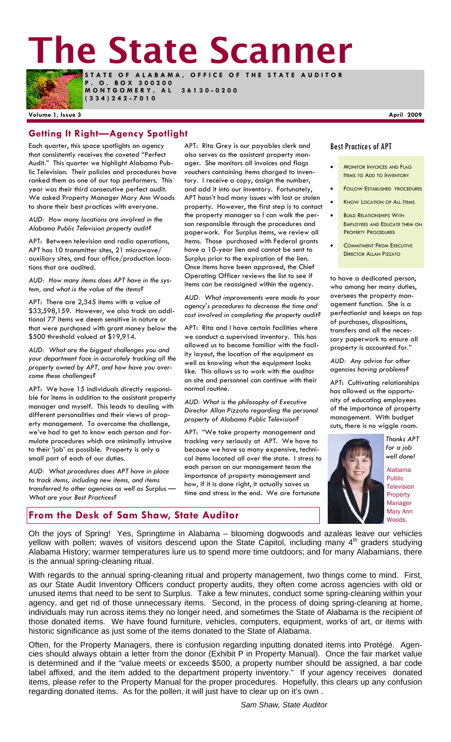# **The State Scanner**



**STATE OF ALABAMA, OFFICE OF THE STATE AUDITOR P . O . B O X 3 0 0 2 0 0 MONTGOMERY, AL 36130-0200** 

**(334)242-7010** 

#### **Volume 1, Issue 3 April 2009**

## **Getting It Right—Agency Spotlight**

Each quarter, this space spotlights an agency that consistently receives the coveted "Perfect Audit." This quarter we highlight Alabama Public Television. Their policies and procedures have ranked them as one of our top performers. This year was their third consecutive perfect audit. We asked Property Manager Mary Ann Woods to share their best practices with everyone.

*AUD: How many locations are involved in the Alabama Public Television property audit?* 

APT: Between television and radio operations, APT has 10 transmitter sites, 21 microwave/ auxiliary sites, and four office/production locations that are audited.

*AUD: How many items does APT have in the system, and what is the value of the items?* 

APT: There are 2,345 items with a value of \$33,598,159. However, we also track an additional 77 items we deem sensitive in nature or that were purchased with grant money below the \$500 threshold valued at \$19,914.

*AUD: What are the biggest challenges you and your department face in accurately tracking all the property owned by APT, and how have you overcome these challenges?* 

APT: We have 15 individuals directly responsible for items in addition to the assistant property manager and myself. This leads to dealing with different personalities and their views of property management. To overcome the challenge, we've had to get to know each person and formulate procedures which are minimally intrusive to their 'job' as possible. Property is only a small part of each of our duties.

*AUD: What procedures does APT have in place to track items, including new items, and items transferred to other agencies as well as Surplus — What are your Best Practices?* 

APT: Rita Grey is our payables clerk and also serves as the assistant property manager. She monitors all invoices and flags vouchers containing items charged to inventory. I receive a copy, assign the number, and add it into our inventory. Fortunately, APT hasn't had many issues with lost or stolen property. However, the first step is to contact the property manager so I can walk the person responsible through the procedures and paperwork. For Surplus items, we review all items. Those purchased with Federal grants have a 10-year lien and cannot be sent to Surplus prior to the expiration of the lien. Once items have been approved, the Chief Operating Officer reviews the list to see if items can be reassigned within the agency.

*AUD: What improvements were made to your agency's procedures to decrease the time and cost involved in completing the property audit?* 

APT: Rita and I have certain facilities where we conduct a supervised inventory. This has allowed us to become familiar with the facility layout, the location of the equipment as well as knowing what the equipment looks like. This allows us to work with the auditor on site and personnel can continue with their normal routine.

*AUD: What is the philosophy of Executive Director Allan Pizzato regarding the personal property of Alabama Public Television?* 

APT: "We take property management and tracking very seriously at APT. We have to because we have so many expensive, technical items located all over the state. I stress to each person on our management team the importance of property management and how, if it is done right, it actually saves us time and stress in the end. We are fortunate

#### Best Practices of APT

- MONITOR INVOICES AND FLAG ITEMS TO ADD TO INVENTORY
- FOLLOW ESTABLISHED PROCEDURES
- **KNOW LOCATION OF ALL ITEMS**
- **BUILD RELATIONSHIPS WITH** EMPLOYEES AND EDUCATE THEM ON PROPERTY PROCEDURES
- **COMMITMENT FROM EXECUTIVE** DIRECTOR ALLAN PIZZATO

to have a dedicated person, who among her many duties, oversees the property management function. She is a perfectionist and keeps on top of purchases, dispositions, transfers and all the necessary paperwork to ensure all property is accounted for."

*AUD: Any advice for other agencies having problems?* 

APT: Cultivating relationships has allowed us the opportunity of educating employees of the importance of property management. With budget cuts, there is no wiggle room.



*Thanks APT for a job well done!* 

Alabama Public Television Property Manager Mary Ann Woods.

#### **From the Desk of Sam Shaw, State Auditor**

Oh the joys of Spring! Yes, Springtime in Alabama – blooming dogwoods and azaleas leave our vehicles yellow with pollen; waves of visitors descend upon the State Capitol, including many 4<sup>th</sup> graders studying Alabama History; warmer temperatures lure us to spend more time outdoors; and for many Alabamians, there is the annual spring-cleaning ritual.

With regards to the annual spring-cleaning ritual and property management, two things come to mind. First, as our State Audit Inventory Officers conduct property audits, they often come across agencies with old or unused items that need to be sent to Surplus. Take a few minutes, conduct some spring-cleaning within your agency, and get rid of those unnecessary items. Second, in the process of doing spring-cleaning at home, individuals may run across items they no longer need, and sometimes the State of Alabama is the recipient of those donated items. We have found furniture, vehicles, computers, equipment, works of art, or items with historic significance as just some of the items donated to the State of Alabama.

Often, for the Property Managers, there is confusion regarding inputting donated items into Protégé. Agencies should always obtain a letter from the donor (Exhibit P in Property Manual). Once the fair market value is determined and if the "value meets or exceeds \$500, a property number should be assigned, a bar code label affixed, and the item added to the department property inventory." If your agency receives donated items, please refer to the Property Manual for the proper procedures. Hopefully, this clears up any confusion regarding donated items. As for the pollen, it will just have to clear up on it's own .